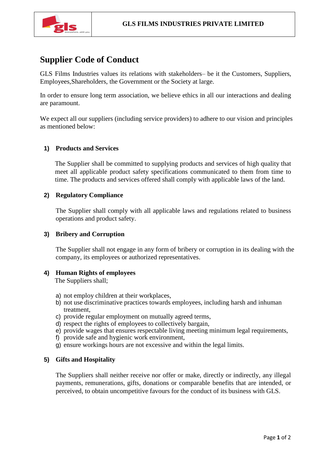

# **Supplier Code of Conduct**

GLS Films Industries values its relations with stakeholders– be it the Customers, Suppliers, Employees,Shareholders, the Government or the Society at large.

In order to ensure long term association, we believe ethics in all our interactions and dealing are paramount.

We expect all our suppliers (including service providers) to adhere to our vision and principles as mentioned below:

## **1) Products and Services**

The Supplier shall be committed to supplying products and services of high quality that meet all applicable product safety specifications communicated to them from time to time. The products and services offered shall comply with applicable laws of the land.

## **2) Regulatory Compliance**

The Supplier shall comply with all applicable laws and regulations related to business operations and product safety.

## **3) Bribery and Corruption**

The Supplier shall not engage in any form of bribery or corruption in its dealing with the company, its employees or authorized representatives.

## **4) Human Rights of employees**

The Suppliers shall;

- a) not employ children at their workplaces,
- b) not use discriminative practices towards employees, including harsh and inhuman treatment,
- c) provide regular employment on mutually agreed terms,
- d) respect the rights of employees to collectively bargain,
- e) provide wages that ensures respectable living meeting minimum legal requirements,
- f) provide safe and hygienic work environment,
- g) ensure workings hours are not excessive and within the legal limits.

## **5) Gifts and Hospitality**

The Suppliers shall neither receive nor offer or make, directly or indirectly, any illegal payments, remunerations, gifts, donations or comparable benefits that are intended, or perceived, to obtain uncompetitive favours for the conduct of its business with GLS.